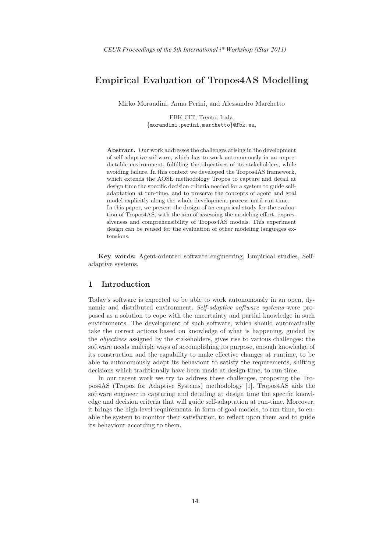# Empirical Evaluation of Tropos4AS Modelling

Mirko Morandini, Anna Perini, and Alessandro Marchetto

FBK-CIT, Trento, Italy, {morandini,perini,marchetto}@fbk.eu,

Abstract. Our work addresses the challenges arising in the development of self-adaptive software, which has to work autonomously in an unpredictable environment, fulfilling the objectives of its stakeholders, while avoiding failure. In this context we developed the Tropos4AS framework, which extends the AOSE methodology Tropos to capture and detail at design time the specific decision criteria needed for a system to guide selfadaptation at run-time, and to preserve the concepts of agent and goal model explicitly along the whole development process until run-time. In this paper, we present the design of an empirical study for the evaluation of Tropos4AS, with the aim of assessing the modeling effort, expressiveness and comprehensibility of Tropos4AS models. This experiment design can be reused for the evaluation of other modeling languages extensions.

Key words: Agent-oriented software engineering, Empirical studies, Selfadaptive systems.

## 1 Introduction

Today's software is expected to be able to work autonomously in an open, dynamic and distributed environment. Self-adaptive software systems were proposed as a solution to cope with the uncertainty and partial knowledge in such environments. The development of such software, which should automatically take the correct actions based on knowledge of what is happening, guided by the objectives assigned by the stakeholders, gives rise to various challenges: the software needs multiple ways of accomplishing its purpose, enough knowledge of its construction and the capability to make effective changes at runtime, to be able to autonomously adapt its behaviour to satisfy the requirements, shifting decisions which traditionally have been made at design-time, to run-time.

In our recent work we try to address these challenges, proposing the Tropos4AS (Tropos for Adaptive Systems) methodology [1]. Tropos4AS aids the software engineer in capturing and detailing at design time the specific knowledge and decision criteria that will guide self-adaptation at run-time. Moreover, it brings the high-level requirements, in form of goal-models, to run-time, to enable the system to monitor their satisfaction, to reflect upon them and to guide its behaviour according to them.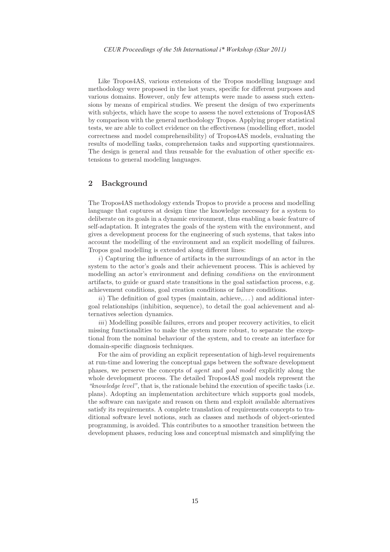Like Tropos4AS, various extensions of the Tropos modelling language and methodology were proposed in the last years, specific for different purposes and various domains. However, only few attempts were made to assess such extensions by means of empirical studies. We present the design of two experiments with subjects, which have the scope to assess the novel extensions of Tropos4AS by comparison with the general methodology Tropos. Applying proper statistical tests, we are able to collect evidence on the effectiveness (modelling effort, model correctness and model comprehensibility) of Tropos4AS models, evaluating the results of modelling tasks, comprehension tasks and supporting questionnaires. The design is general and thus reusable for the evaluation of other specific extensions to general modeling languages.

## 2 Background

The Tropos4AS methodology extends Tropos to provide a process and modelling language that captures at design time the knowledge necessary for a system to deliberate on its goals in a dynamic environment, thus enabling a basic feature of self-adaptation. It integrates the goals of the system with the environment, and gives a development process for the engineering of such systems, that takes into account the modelling of the environment and an explicit modelling of failures. Tropos goal modelling is extended along different lines:

i) Capturing the influence of artifacts in the surroundings of an actor in the system to the actor's goals and their achievement process. This is achieved by modelling an actor's environment and defining *conditions* on the environment artifacts, to guide or guard state transitions in the goal satisfaction process, e.g. achievement conditions, goal creation conditions or failure conditions.

 $ii)$  The definition of goal types (maintain, achieve,...) and additional intergoal relationships (inhibition, sequence), to detail the goal achievement and alternatives selection dynamics.

iii) Modelling possible failures, errors and proper recovery activities, to elicit missing functionalities to make the system more robust, to separate the exceptional from the nominal behaviour of the system, and to create an interface for domain-specific diagnosis techniques.

For the aim of providing an explicit representation of high-level requirements at run-time and lowering the conceptual gaps between the software development phases, we perserve the concepts of agent and goal model explicitly along the whole development process. The detailed Tropos4AS goal models represent the "knowledge level", that is, the rationale behind the execution of specific tasks (i.e. plans). Adopting an implementation architecture which supports goal models, the software can navigate and reason on them and exploit available alternatives satisfy its requirements. A complete translation of requirements concepts to traditional software level notions, such as classes and methods of object-oriented programming, is avoided. This contributes to a smoother transition between the development phases, reducing loss and conceptual mismatch and simplifying the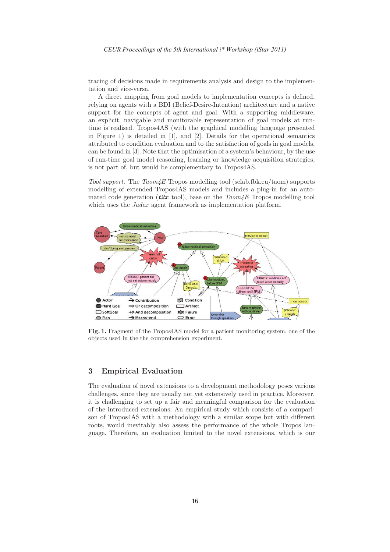tracing of decisions made in requirements analysis and design to the implementation and vice-versa.

A direct mapping from goal models to implementation concepts is defined, relying on agents with a BDI (Belief-Desire-Intention) architecture and a native support for the concepts of agent and goal. With a supporting middleware, an explicit, navigable and monitorable representation of goal models at runtime is realised. Tropos4AS (with the graphical modelling language presented in Figure 1) is detailed in [1], and [2]. Details for the operational semantics attributed to condition evaluation and to the satisfaction of goals in goal models, can be found in [3]. Note that the optimisation of a system's behaviour, by the use of run-time goal model reasoning, learning or knowledge acquisition strategies, is not part of, but would be complementary to Tropos4AS.

Tool support. The  $Taom\&\&\to\infty$  modelling tool (selab.fbk.eu/taom) supports modelling of extended Tropos4AS models and includes a plug-in for an automated code generation ( $t2x$  tool), base on the  $Taom\measuredangle E$  Tropos modelling tool which uses the *Jadex* agent framework as implementation platform.



Fig. 1. Fragment of the Tropos4AS model for a patient monitoring system, one of the objects used in the the comprehension experiment.

### 3 Empirical Evaluation

The evaluation of novel extensions to a development methodology poses various challenges, since they are usually not yet extensively used in practice. Moreover, it is challenging to set up a fair and meaningful comparison for the evaluation of the introduced extensions: An empirical study which consists of a comparison of Tropos4AS with a methodology with a similar scope but with different roots, would inevitably also assess the performance of the whole Tropos language. Therefore, an evaluation limited to the novel extensions, which is our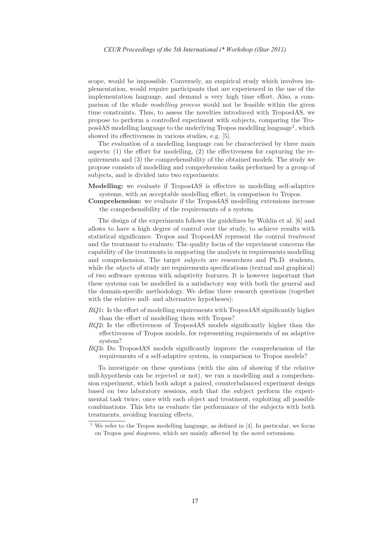scope, would be impossible. Conversely, an empirical study which involves implementation, would require participants that are experienced in the use of the implementation language, and demand a very high time effort. Also, a comparison of the whole modelling process would not be feasible within the given time constraints. Thus, to assess the novelties introduced with Tropos4AS, we propose to perform a controlled experiment with subjects, comparing the Tropos4AS modelling language to the underlying Tropos modelling language<sup>1</sup>, which showed its effectiveness in various studies, e.g. [5].

The evaluation of a modelling language can be characterised by three main aspects: (1) the effort for modelling, (2) the effectiveness for capturing the requirements and (3) the comprehensibility of the obtained models. The study we propose consists of modelling and comprehension tasks performed by a group of subjects, and is divided into two experiments:

- Modelling: we evaluate if Tropos4AS is effective in modelling self-adaptive systems, with an acceptable modelling effort, in comparison to Tropos.
- Comprehension: we evaluate if the Tropos4AS modelling extensions increase the comprehensibility of the requirements of a system.

The design of the experiments follows the guidelines by Wohlin et al. [6] and allows to have a high degree of control over the study, to achieve results with statistical significance. Tropos and Tropos4AS represent the control treatment and the treatment to evaluate. The quality focus of the experiment concerns the capability of the treatments in supporting the analysts in requirements modelling and comprehension. The target *subjects* are researchers and Ph.D. students, while the *objects* of study are requirements specifications (textual and graphical) of two software systems with adaptivity features. It is however important that these systems can be modelled in a satisfactory way with both the general and the domain-specific methodology. We define three research questions (together with the relative null- and alternative hypotheses):

- $RQ1$ : Is the effort of modelling requirements with Tropos4AS significantly higher than the effort of modelling them with Tropos?
- RQ2: Is the effectiveness of Tropos4AS models significantly higher than the effectiveness of Tropos models, for representing requirements of an adaptive system?
- RQ3: Do Tropos4AS models significantly improve the comprehension of the requirements of a self-adaptive system, in comparison to Tropos models?

To investigate on these questions (with the aim of showing if the relative null-hypothesis can be rejected or not), we run a modelling and a comprehension experiment, which both adopt a paired, counterbalanced experiment design based on two laboratory sessions, such that the subject perform the experimental task twice, once with each object and treatment, exploiting all possible combinations. This lets us evaluate the performance of the subjects with both treatments, avoiding learning effects.

We refer to the Tropos modelling language, as defined in [4]. In particular, we focus on Tropos goal diagrams, which are mainly affected by the novel extensions.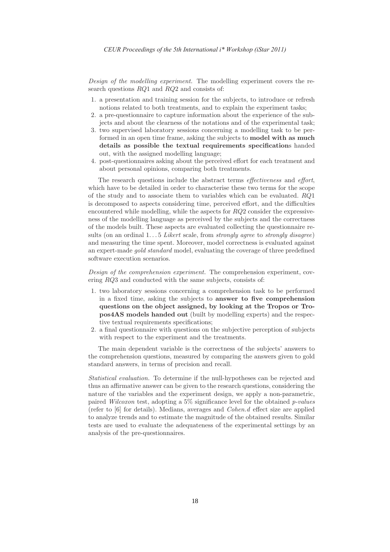Design of the modelling experiment. The modelling experiment covers the research questions RQ1 and RQ2 and consists of:

- 1. a presentation and training session for the subjects, to introduce or refresh notions related to both treatments, and to explain the experiment tasks;
- 2. a pre-questionnaire to capture information about the experience of the subjects and about the clearness of the notations and of the experimental task;
- 3. two supervised laboratory sessions concerning a modelling task to be performed in an open time frame, asking the subjects to model with as much details as possible the textual requirements specifications handed out, with the assigned modelling language;
- 4. post-questionnaires asking about the perceived effort for each treatment and about personal opinions, comparing both treatments.

The research questions include the abstract terms *effectiveness* and *effort*, which have to be detailed in order to characterise these two terms for the scope of the study and to associate them to variables which can be evaluated.  $RQ1$ is decomposed to aspects considering time, perceived effort, and the difficulties encountered while modelling, while the aspects for  $RQ2$  consider the expressiveness of the modelling language as perceived by the subjects and the correctness of the models built. These aspects are evaluated collecting the questionnaire results (on an ordinal  $1...5$  Likert scale, from strongly agree to strongly disagree) and measuring the time spent. Moreover, model correctness is evaluated against an expert-made gold standard model, evaluating the coverage of three predefined software execution scenarios.

Design of the comprehension experiment. The comprehension experiment, covering RQ3 and conducted with the same subjects, consists of:

- 1. two laboratory sessions concerning a comprehension task to be performed in a fixed time, asking the subjects to answer to five comprehension questions on the object assigned, by looking at the Tropos or Tropos4AS models handed out (built by modelling experts) and the respective textual requirements specifications;
- 2. a final questionnaire with questions on the subjective perception of subjects with respect to the experiment and the treatments.

The main dependent variable is the correctness of the subjects' answers to the comprehension questions, measured by comparing the answers given to gold standard answers, in terms of precision and recall.

Statistical evaluation. To determine if the null-hypotheses can be rejected and thus an affirmative answer can be given to the research questions, considering the nature of the variables and the experiment design, we apply a non-parametric, paired Wilcoxon test, adopting a 5% significance level for the obtained p-values (refer to [6] for details). Medians, averages and Cohen.d effect size are applied to analyze trends and to estimate the magnitude of the obtained results. Similar tests are used to evaluate the adequateness of the experimental settings by an analysis of the pre-questionnaires.